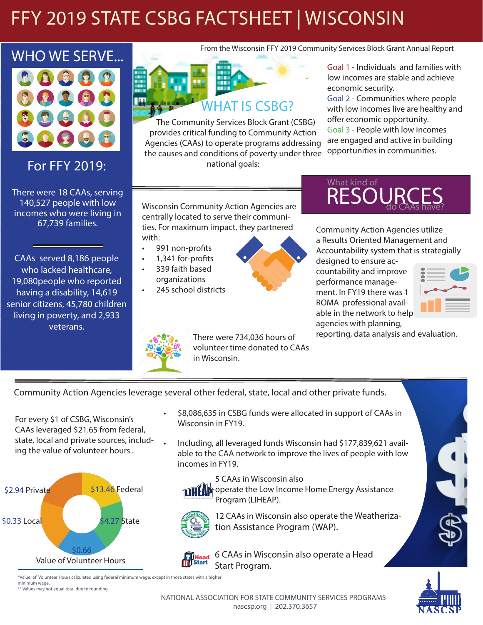# FFY 2019 STATE CSBG FACTSHEET | WISCONSIN



For FFY 2019:

There were 18 CAAs, serving 140,527 people with low incomes who were living in 67,739 families.

CAAs served 8,186 people who lacked healthcare, 19,080people who reported having a disability, 14,619 senior citizens, 45,780 children living in poverty, and 2,933 veterans.



The Community Services Block Grant (CSBG) provides critical funding to Community Action Agencies (CAAs) to operate programs addressing the causes and conditions of poverty under three national goals:

Goal 1 - Individuals and families with low incomes are stable and achieve economic security.

Goal 2 - Communities where people with low incomes live are healthy and offer economic opportunity.

Goal 3 - People with low incomes are engaged and active in building opportunities in communities.

Wisconsin Community Action Agencies are centrally located to serve their communities. For maximum impact, they partnered with:

- 991 non-profits
- 1,341 for-profits
- 339 faith based
- organizations • 245 school districts





Community Action Agencies utilize a Results Oriented Management and Accountability system that is strategially

designed to ensure accountability and improve performance management. In FY19 there was 1 ROMA professional available in the network to help agencies with planning,



reporting, data analysis and evaluation.

There were 734,036 hours of volunteer time donated to CAAs in Wisconsin.

Community Action Agencies leverage several other federal, state, local and other private funds.

For every \$1 of CSBG, Wisconsin's CAAs leveraged \$21.65 from federal, state, local and private sources, including the value of volunteer hours .



- \$8,086,635 in CSBG funds were allocated in support of CAAs in Wisconsin in FY19.
- Including, all leveraged funds Wisconsin had \$177,839,621 available to the CAA network to improve the lives of people with low incomes in FY19.



5 CAAs in Wisconsin also  $\left| \right|$  operate the Low Income Home Energy Assistance Program (LIHEAP).



12 CAAs in Wisconsin also operate the Weatherization Assistance Program (WAP).



6 CAAs in Wisconsin also operate a Head Start Program.

\*Value of Volunteer Hours calculated using federal minimum wage, except in those states with a higher minimum wage.

\*\* Values may not equal total due to rounding

NATIONAL ASSOCIATION FOR STATE COMMUNITY SERVICES PROGRAMS nascsp.org | 202.370.3657